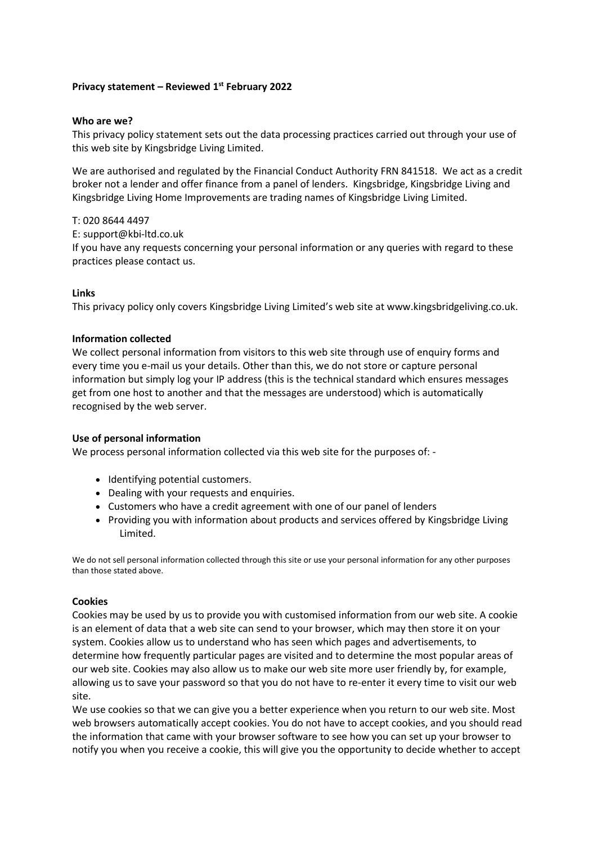# **Privacy statement – Reviewed 1 st February 2022**

#### **Who are we?**

This privacy policy statement sets out the data processing practices carried out through your use of this web site by Kingsbridge Living Limited.

We are authorised and regulated by the Financial Conduct Authority FRN 841518. We act as a credit broker not a lender and offer finance from a panel of lenders. Kingsbridge, Kingsbridge Living and Kingsbridge Living Home Improvements are trading names of Kingsbridge Living Limited.

#### T: 020 8644 4497

E: support@kbi-ltd.co.uk

If you have any requests concerning your personal information or any queries with regard to these practices please [contact us.](http://www.experian.co.uk/contact-us/index.html)

## **Links**

This privacy policy only covers Kingsbridge Living Limited's web site at www.kingsbridgeliving.co.uk.

## **Information collected**

We collect personal information from visitors to this web site through use of enquiry forms and every time you e-mail us your details. Other than this, we do not store or capture personal information but simply log your IP address (this is the technical standard which ensures messages get from one host to another and that the messages are understood) which is automatically recognised by the web server.

#### **Use of personal information**

We process personal information collected via this web site for the purposes of: -

- Identifying potential customers.
- Dealing with your requests and enquiries.
- Customers who have a credit agreement with one of our panel of lenders
- Providing you with information about products and services offered by Kingsbridge Living Limited.

We do not sell personal information collected through this site or use your personal information for any other purposes than those stated above.

#### **Cookies**

Cookies may be used by us to provide you with customised information from our web site. A cookie is an element of data that a web site can send to your browser, which may then store it on your system. Cookies allow us to understand who has seen which pages and advertisements, to determine how frequently particular pages are visited and to determine the most popular areas of our web site. Cookies may also allow us to make our web site more user friendly by, for example, allowing us to save your password so that you do not have to re-enter it every time to visit our web site.

We use cookies so that we can give you a better experience when you return to our web site. Most web browsers automatically accept cookies. You do not have to accept cookies, and you should read the information that came with your browser software to see how you can set up your browser to notify you when you receive a cookie, this will give you the opportunity to decide whether to accept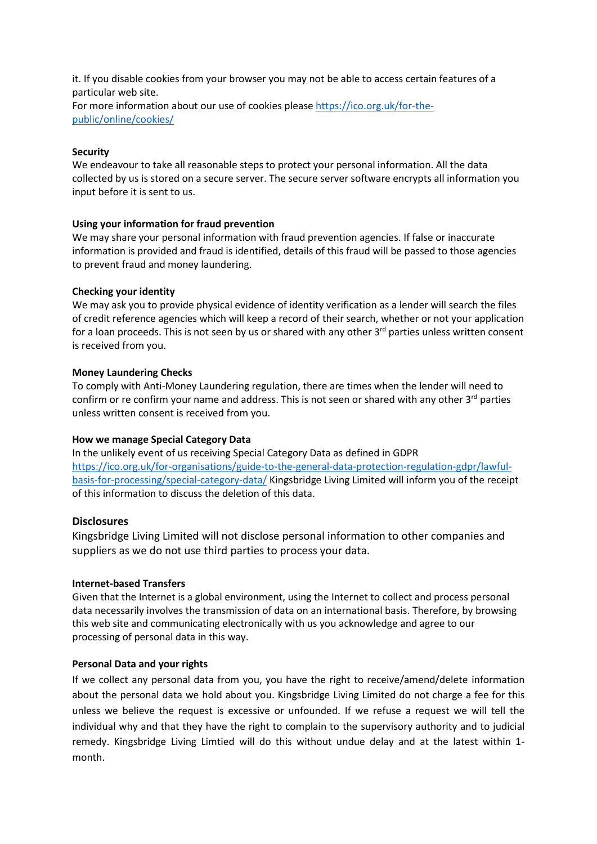it. If you disable cookies from your browser you may not be able to access certain features of a particular web site. For more information about our use of cookies please [https://ico.org.uk/for-the](https://ico.org.uk/for-the-public/online/cookies/)[public/online/cookies/](https://ico.org.uk/for-the-public/online/cookies/)

## **Security**

We endeavour to take all reasonable steps to protect your personal information. All the data collected by us is stored on a secure server. The secure server software encrypts all information you input before it is sent to us.

# **Using your information for fraud prevention**

We may share your personal information with fraud prevention agencies. If false or inaccurate information is provided and fraud is identified, details of this fraud will be passed to those agencies to prevent fraud and money laundering.

## **Checking your identity**

We may ask you to provide physical evidence of identity verification as a lender will search the files of credit reference agencies which will keep a record of their search, whether or not your application for a loan proceeds. This is not seen by us or shared with any other  $3<sup>rd</sup>$  parties unless written consent is received from you.

## **Money Laundering Checks**

To comply with Anti-Money Laundering regulation, there are times when the lender will need to confirm or re confirm your name and address. This is not seen or shared with any other  $3<sup>rd</sup>$  parties unless written consent is received from you.

#### **How we manage Special Category Data**

In the unlikely event of us receiving Special Category Data as defined in GDPR [https://ico.org.uk/for-organisations/guide-to-the-general-data-protection-regulation-gdpr/lawful](https://ico.org.uk/for-organisations/guide-to-the-general-data-protection-regulation-gdpr/lawful-basis-for-processing/special-category-data/)[basis-for-processing/special-category-data/](https://ico.org.uk/for-organisations/guide-to-the-general-data-protection-regulation-gdpr/lawful-basis-for-processing/special-category-data/) Kingsbridge Living Limited will inform you of the receipt of this information to discuss the deletion of this data.

# **Disclosures**

Kingsbridge Living Limited will not disclose personal information to other companies and suppliers as we do not use third parties to process your data.

## **Internet-based Transfers**

Given that the Internet is a global environment, using the Internet to collect and process personal data necessarily involves the transmission of data on an international basis. Therefore, by browsing this web site and communicating electronically with us you acknowledge and agree to our processing of personal data in this way.

# **Personal Data and your rights**

If we collect any personal data from you, you have the right to receive/amend/delete information about the personal data we hold about you. Kingsbridge Living Limited do not charge a fee for this unless we believe the request is excessive or unfounded. If we refuse a request we will tell the individual why and that they have the right to complain to the supervisory authority and to judicial remedy. Kingsbridge Living Limtied will do this without undue delay and at the latest within 1 month.